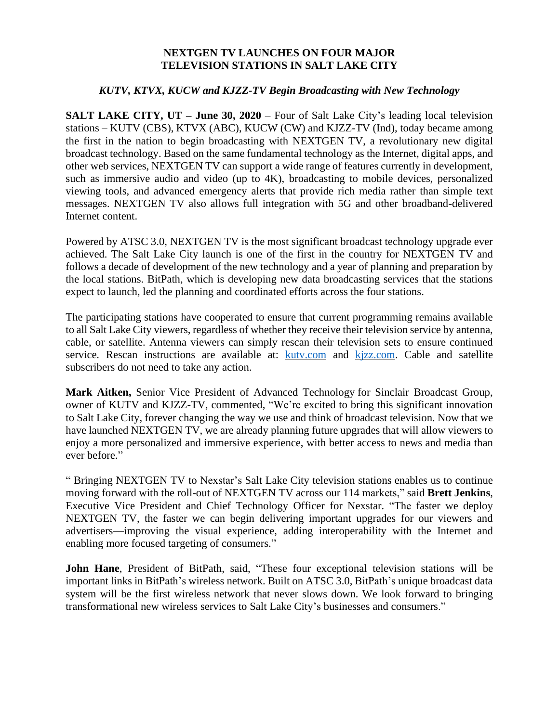## **NEXTGEN TV LAUNCHES ON FOUR MAJOR TELEVISION STATIONS IN SALT LAKE CITY**

## *KUTV, KTVX, KUCW and KJZZ-TV Begin Broadcasting with New Technology*

**SALT LAKE CITY, UT – June 30, 2020** – Four of Salt Lake City's leading local television stations – KUTV (CBS), KTVX (ABC), KUCW (CW) and KJZZ-TV (Ind), today became among the first in the nation to begin broadcasting with NEXTGEN TV, a revolutionary new digital broadcast technology. Based on the same fundamental technology as the Internet, digital apps, and other web services, NEXTGEN TV can support a wide range of features currently in development, such as immersive audio and video (up to 4K), broadcasting to mobile devices, personalized viewing tools, and advanced emergency alerts that provide rich media rather than simple text messages. NEXTGEN TV also allows full integration with 5G and other broadband-delivered Internet content.

Powered by ATSC 3.0, NEXTGEN TV is the most significant broadcast technology upgrade ever achieved. The Salt Lake City launch is one of the first in the country for NEXTGEN TV and follows a decade of development of the new technology and a year of planning and preparation by the local stations. BitPath, which is developing new data broadcasting services that the stations expect to launch, led the planning and coordinated efforts across the four stations.

The participating stations have cooperated to ensure that current programming remains available to all Salt Lake City viewers, regardless of whether they receive their television service by antenna, cable, or satellite. Antenna viewers can simply rescan their television sets to ensure continued service. Rescan instructions are available at: [kutv.com](http://kutv.com/) and [kjzz.com.](http://kjzz.com/) Cable and satellite subscribers do not need to take any action.

**Mark Aitken,** Senior Vice President of Advanced Technology for Sinclair Broadcast Group, owner of KUTV and KJZZ-TV, commented, "We're excited to bring this significant innovation to Salt Lake City, forever changing the way we use and think of broadcast television. Now that we have launched NEXTGEN TV, we are already planning future upgrades that will allow viewers to enjoy a more personalized and immersive experience, with better access to news and media than ever before."

" Bringing NEXTGEN TV to Nexstar's Salt Lake City television stations enables us to continue moving forward with the roll-out of NEXTGEN TV across our 114 markets," said **Brett Jenkins**, Executive Vice President and Chief Technology Officer for Nexstar. "The faster we deploy NEXTGEN TV, the faster we can begin delivering important upgrades for our viewers and advertisers—improving the visual experience, adding interoperability with the Internet and enabling more focused targeting of consumers."

**John Hane**, President of BitPath, said, "These four exceptional television stations will be important links in BitPath's wireless network. Built on ATSC 3.0, BitPath's unique broadcast data system will be the first wireless network that never slows down. We look forward to bringing transformational new wireless services to Salt Lake City's businesses and consumers."